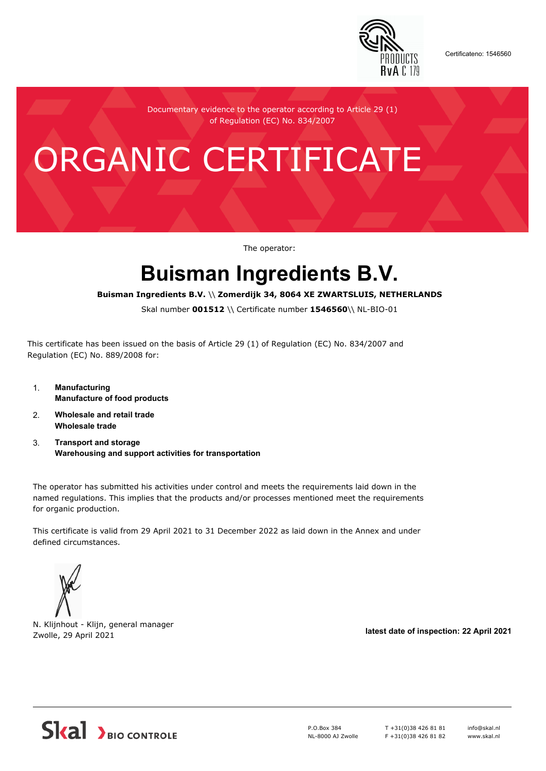

Certificateno: 1546560

Documentary evidence to the operator according to Article 29 (1) of Regulation (EC) No. 834/2007

## ORGANIC CERTIFICATE

The operator:

## **Buisman Ingredients B.V.**

**Buisman Ingredients B.V.** \\ **Zomerdijk 34, 8064 XE ZWARTSLUIS, NETHERLANDS**

Skal number **001512** \\ Certificate number **1546560**\\ NL-BIO-01

This certificate has been issued on the basis of Article 29 (1) of Regulation (EC) No. 834/2007 and Regulation (EC) No. 889/2008 for:

- 1. **Manufacturing Manufacture of food products**
- 2. **Wholesale and retail trade Wholesale trade**
- 3. **Transport and storage Warehousing and support activities for transportation**

The operator has submitted his activities under control and meets the requirements laid down in the named regulations. This implies that the products and/or processes mentioned meet the requirements for organic production.

This certificate is valid from 29 April 2021 to 31 December 2022 as laid down in the Annex and under defined circumstances.



N. Klijnhout - Klijn, general manager Zwolle, 29 April 2021 **latest date of inspection: 22 April 2021**



P.O.Box 384 NL-8000 AJ Zwolle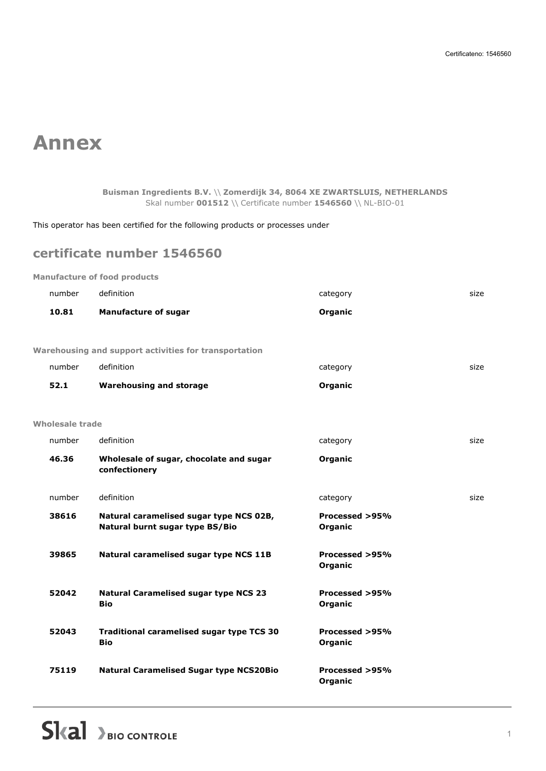## **Annex**

**Buisman Ingredients B.V.** \\ **Zomerdijk 34, 8064 XE ZWARTSLUIS, NETHERLANDS** Skal number **001512** \\ Certificate number **1546560** \\ NL-BIO-01

This operator has been certified for the following products or processes under

## **certificate number 1546560**

**Manufacture of food products**

| number          | definition                                                                 | category                  | size |
|-----------------|----------------------------------------------------------------------------|---------------------------|------|
| 10.81           | <b>Manufacture of sugar</b>                                                | Organic                   |      |
|                 |                                                                            |                           |      |
|                 | Warehousing and support activities for transportation                      |                           |      |
| number          | definition                                                                 | category                  | size |
| 52.1            | <b>Warehousing and storage</b>                                             | Organic                   |      |
|                 |                                                                            |                           |      |
| Wholesale trade |                                                                            |                           |      |
| number          | definition                                                                 | category                  | size |
| 46.36           | Wholesale of sugar, chocolate and sugar<br>confectionery                   | Organic                   |      |
| number          | definition                                                                 | category                  | size |
| 38616           | Natural caramelised sugar type NCS 02B,<br>Natural burnt sugar type BS/Bio | Processed >95%<br>Organic |      |
| 39865           | Natural caramelised sugar type NCS 11B                                     | Processed >95%<br>Organic |      |
| 52042           | <b>Natural Caramelised sugar type NCS 23</b><br><b>Bio</b>                 | Processed >95%<br>Organic |      |
| 52043           | Traditional caramelised sugar type TCS 30<br><b>Bio</b>                    | Processed >95%<br>Organic |      |
| 75119           | <b>Natural Caramelised Sugar type NCS20Bio</b>                             | Processed >95%<br>Organic |      |